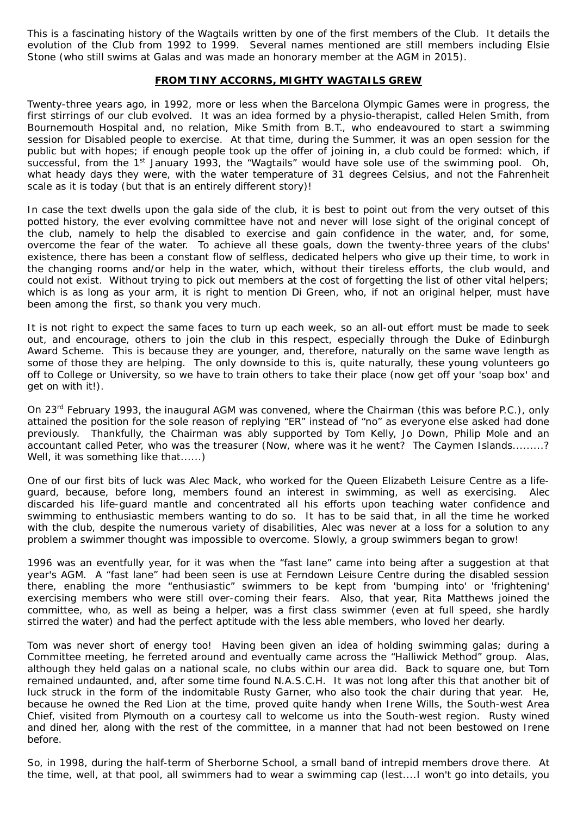This is a fascinating history of the Wagtails written by one of the first members of the Club. It details the evolution of the Club from 1992 to 1999. Several names mentioned are still members including Elsie Stone (who still swims at Galas and was made an honorary member at the AGM in 2015).

## **FROM TINY ACCORNS, MIGHTY WAGTAILS GREW**

Twenty-three years ago, in 1992, more or less when the Barcelona Olympic Games were in progress, the first stirrings of our club evolved. It was an idea formed by a physio-therapist, called Helen Smith, from Bournemouth Hospital and, no relation, Mike Smith from B.T., who endeavoured to start a swimming session for Disabled people to exercise. At that time, during the Summer, it was an open session for the public but with hopes; if enough people took up the offer of joining in, a club could be formed: which, if successful, from the 1<sup>st</sup> January 1993, the "Wagtails" would have sole use of the swimming pool. Oh, what heady days they were, with the water temperature of 31 degrees Celsius, and not the Fahrenheit scale as it is today (but that is an entirely different story)!

In case the text dwells upon the gala side of the club, it is best to point out from the very outset of this potted history, the ever evolving committee have not and never will lose sight of the original concept of the club, namely to help the disabled to exercise and gain confidence in the water, and, for some, overcome the fear of the water. To achieve all these goals, down the twenty-three years of the clubs' existence, there has been a constant flow of selfless, dedicated helpers who give up their time, to work in the changing rooms and/or help in the water, which, without their tireless efforts, the club would, and could not exist. Without trying to pick out members at the cost of forgetting the list of other vital helpers; which is as long as your arm, it is right to mention Di Green, who, if not an original helper, must have been among the first, so thank you very much.

It is not right to expect the same faces to turn up each week, so an all-out effort must be made to seek out, and encourage, others to join the club in this respect, especially through the Duke of Edinburgh Award Scheme. This is because they are younger, and, therefore, naturally on the same wave length as some of those they are helping. The only downside to this is, quite naturally, these young volunteers go off to College or University, so we have to train others to take their place (now get off your 'soap box' and get on with it!).

On 23rd February 1993, the inaugural AGM was convened, where the Chairman (this was before P.C.), only attained the position for the sole reason of replying "ER" instead of "no" as everyone else asked had done previously. Thankfully, the Chairman was ably supported by Tom Kelly, Jo Down, Philip Mole and an accountant called Peter, who was the treasurer (Now, where was it he went? The Caymen Islands.........? Well, it was something like that......)

One of our first bits of luck was Alec Mack, who worked for the Queen Elizabeth Leisure Centre as a lifeguard, because, before long, members found an interest in swimming, as well as exercising. Alec discarded his life-guard mantle and concentrated all his efforts upon teaching water confidence and swimming to enthusiastic members wanting to do so. It has to be said that, in all the time he worked with the club, despite the numerous variety of disabilities, Alec was never at a loss for a solution to any problem a swimmer thought was impossible to overcome. Slowly, a group swimmers began to grow!

1996 was an eventfully year, for it was when the "fast lane" came into being after a suggestion at that year's AGM. A "fast lane" had been seen is use at Ferndown Leisure Centre during the disabled session there, enabling the more "enthusiastic" swimmers to be kept from 'bumping into' or 'frightening' exercising members who were still over-coming their fears. Also, that year, Rita Matthews joined the committee, who, as well as being a helper, was a first class swimmer (even at full speed, she hardly stirred the water) and had the perfect aptitude with the less able members, who loved her dearly.

Tom was never short of energy too! Having been given an idea of holding swimming galas; during a Committee meeting, he ferreted around and eventually came across the "Halliwick Method" group. Alas, although they held galas on a national scale, no clubs within our area did. Back to square one, but Tom remained undaunted, and, after some time found N.A.S.C.H. It was not long after this that another bit of luck struck in the form of the indomitable Rusty Garner, who also took the chair during that year. He, because he owned the Red Lion at the time, proved quite handy when Irene Wills, the South-west Area Chief, visited from Plymouth on a courtesy call to welcome us into the South-west region. Rusty wined and dined her, along with the rest of the committee, in a manner that had not been bestowed on Irene before.

So, in 1998, during the half-term of Sherborne School, a small band of intrepid members drove there. At the time, well, at that pool, all swimmers had to wear a swimming cap (lest....I won't go into details, you